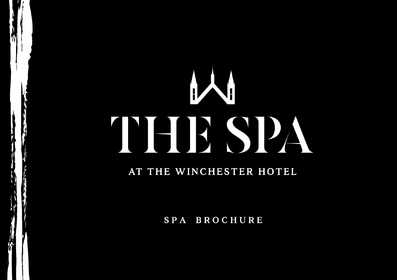# **INSTE** 15

# AT THE WINCHESTER HOTEL

SPA BROCHURE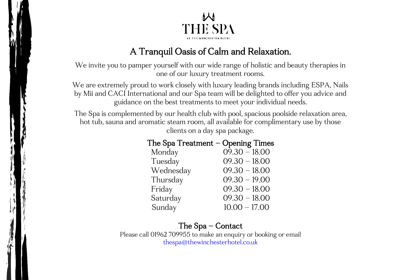

# A Tranquil Oasis of Calm and Relaxation.

We invite you to pamper yourself with our wide range of holistic and beauty therapies in one of our luxury treatment rooms.

We are extremely proud to work closely with luxury leading brands including ESPA, Nails by Mii and CACI International and our Spa team will be delighted to offer you advice and guidance on the best treatments to meet your individual needs.

The Spa is complemented by our health club with pool, spacious poolside relaxation area, hot tub, sauna and aromatic steam room, all available for complimentary use by those clients on a day spa package.

| ne Spa Treatment – Opening Times |                 |
|----------------------------------|-----------------|
| Monday                           | $09.30 - 18.00$ |
| Tuesday                          | $09.30 - 18.00$ |
| Wednesday                        | $09.30 - 18.00$ |
| Thursday                         | $09.30 - 19.00$ |
| Friday                           | $09.30 - 18.00$ |
| Saturday                         | $09.30 - 18.00$ |
| Sunday                           | $10.00 - 17.00$ |
|                                  |                 |

# $The Sna Treatment - Onanina Times$

# The Spa – Contact

Please call 01962 709955 to make an enquiry or booking or email [thespa@thewinchesterhotel.co.uk](mailto:thespa@thewinchesterhotel.co.uk)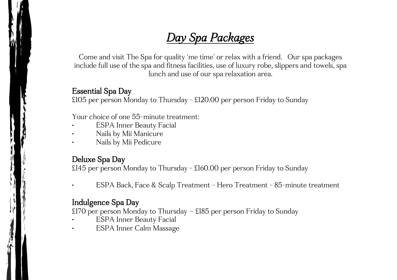# *Day Spa Packages*

Come and visit The Spa for quality 'me time' or relax with a friend. Our spa packages include full use of the spa and fitness facilities, use of luxury robe, slippers and towels, spa lunch and use of our spa relaxation area.

#### Essential Spa Day

£105 per person Monday to Thursday - £120.00 per person Friday to Sunday

Your choice of one 55-minute treatment:

- ESPA Inner Beauty Facial
- Nails by Mii Manicure
- Nails by Mii Pedicure

## Deluxe Spa Day

£145 per person Monday to Thursday - £160.00 per person Friday to Sunday

• ESPA Back, Face & Scalp Treatment - Hero Treatment - 85-minute treatment

#### Indulgence Spa Day

£170 per person Monday to Thursday – £185 per person Friday to Sunday

- ESPA Inner Beauty Facial
- ESPA Inner Calm Massage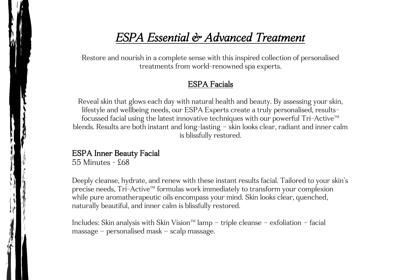# *ESPA Essential & Advanced Treatment*

Restore and nourish in a complete sense with this inspired collection of personalised treatments from world-renowned spa experts.

#### ESPA Facials

Reveal skin that glows each day with natural health and beauty. By assessing your skin, lifestyle and wellbeing needs, our ESPA Experts create a truly personalised, resultsfocussed facial using the latest innovative techniques with our powerful Tri-Active™ blends. Results are both instant and long-lasting – skin looks clear, radiant and inner calm is blissfully restored.

#### ESPA Inner Beauty Facial

55 Minutes - £68

Deeply cleanse, hydrate, and renew with these instant results facial. Tailored to your skin's precise needs, Tri-Active™ formulas work immediately to transform your complexion while pure aromatherapeutic oils encompass your mind. Skin looks clear, quenched, naturally beautiful, and inner calm is blissfully restored.

Includes: Skin analysis with Skin Vision™ lamp – triple cleanse – exfoliation – facial massage – personalised mask – scalp massage.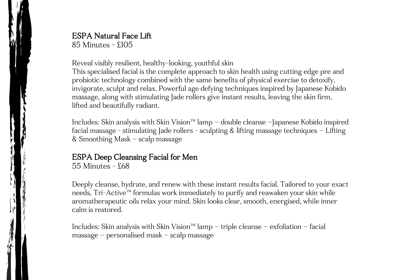# ESPA Natural Face Lift

85 Minutes - £105

Reveal visibly resilient, healthy-looking, youthful skin

This specialised facial is the complete approach to skin health using cutting edge pre and probiotic technology combined with the same benefits of physical exercise to detoxify, invigorate, sculpt and relax. Powerful age defying techniques inspired by Japanese Kobido massage, along with stimulating Jade rollers give instant results, leaving the skin firm, lifted and beautifully radiant.

Includes: Skin analysis with Skin Vision™ lamp – double cleanse –Japanese Kobido inspired facial massage - stimulating Jade rollers - sculpting & lifting massage techniques – Lifting & Smoothing Mask – scalp massage

## ESPA Deep Cleansing Facial for Men

55 Minutes - £68

Deeply cleanse, hydrate, and renew with these instant results facial. Tailored to your exact needs, Tri-Active™ formulas work immediately to purify and reawaken your skin while aromatherapeutic oils relax your mind. Skin looks clear, smooth, energised, while inner calm is restored.

Includes: Skin analysis with Skin Vision™ lamp – triple cleanse – exfoliation – facial massage – personalised mask – scalp massage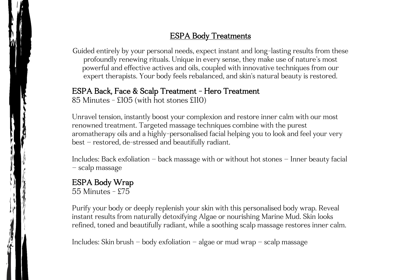# ESPA Body Treatments

Guided entirely by your personal needs, expect instant and long-lasting results from these profoundly renewing rituals. Unique in every sense, they make use of nature's most powerful and effective actives and oils, coupled with innovative techniques from our expert therapists. Your body feels rebalanced, and skin's natural beauty is restored.

#### ESPA Back, Face & Scalp Treatment - Hero Treatment

85 Minutes - £105 (with hot stones £110)

Unravel tension, instantly boost your complexion and restore inner calm with our most renowned treatment. Targeted massage techniques combine with the purest aromatherapy oils and a highly-personalised facial helping you to look and feel your very best – restored, de-stressed and beautifully radiant.

Includes: Back exfoliation – back massage with or without hot stones – Inner beauty facial – scalp massage

#### ESPA Body Wrap 55 Minutes - £75

Purify your body or deeply replenish your skin with this personalised body wrap. Reveal instant results from naturally detoxifying Algae or nourishing Marine Mud. Skin looks refined, toned and beautifully radiant, while a soothing scalp massage restores inner calm.

Includes: Skin brush – body exfoliation – algae or mud wrap – scalp massage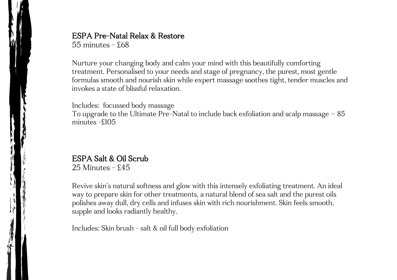# ESPA Pre-Natal Relax & Restore

 $55$  minutes -  $568$ 

Nurture your changing body and calm your mind with this beautifully comforting treatment. Personalised to your needs and stage of pregnancy, the purest, most gentle formulas smooth and nourish skin while expert massage soothes tight, tender muscles and invokes a state of blissful relaxation.

Includes: focussed body massage To upgrade to the Ultimate Pre-Natal to include back exfoliation and scalp massage – 85 minutes -£105

# ESPA Salt & Oil Scrub

25 Minutes - £45

Revive skin's natural softness and glow with this intensely exfoliating treatment. An ideal way to prepare skin for other treatments, a natural blend of sea salt and the purest oils polishes away dull, dry cells and infuses skin with rich nourishment. Skin feels smooth, supple and looks radiantly healthy.

Includes: Skin brush - salt & oil full body exfoliation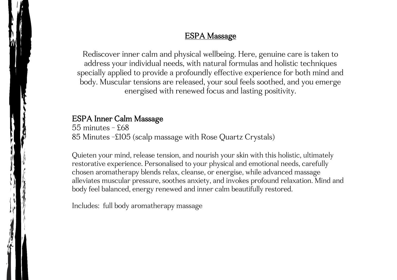#### ESPA Massage

Rediscover inner calm and physical wellbeing. Here, genuine care is taken to address your individual needs, with natural formulas and holistic techniques specially applied to provide a profoundly effective experience for both mind and body. Muscular tensions are released, your soul feels soothed, and you emerge energised with renewed focus and lasting positivity.

#### ESPA Inner Calm Massage

 $55$  minutes -  $568$ 85 Minutes -£105 (scalp massage with Rose Quartz Crystals)

Quieten your mind, release tension, and nourish your skin with this holistic, ultimately restorative experience. Personalised to your physical and emotional needs, carefully chosen aromatherapy blends relax, cleanse, or energise, while advanced massage alleviates muscular pressure, soothes anxiety, and invokes profound relaxation. Mind and body feel balanced, energy renewed and inner calm beautifully restored.

Includes: full body aromatherapy massage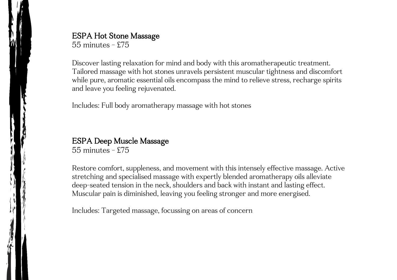ESPA Hot Stone Massage

55 minutes - £75

Discover lasting relaxation for mind and body with this aromatherapeutic treatment. Tailored massage with hot stones unravels persistent muscular tightness and discomfort while pure, aromatic essential oils encompass the mind to relieve stress, recharge spirits and leave you feeling rejuvenated.

Includes: Full body aromatherapy massage with hot stones

ESPA Deep Muscle Massage 55 minutes - £75

Restore comfort, suppleness, and movement with this intensely effective massage. Active stretching and specialised massage with expertly blended aromatherapy oils alleviate deep-seated tension in the neck, shoulders and back with instant and lasting effect. Muscular pain is diminished, leaving you feeling stronger and more energised.

Includes: Targeted massage, focussing on areas of concern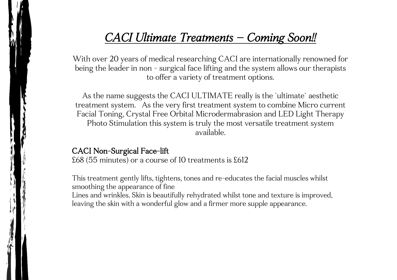# *CACI Ultimate Treatments – Coming Soon!!*

With over 20 years of medical researching CACI are internationally renowned for being the leader in non - surgical face lifting and the system allows our therapists to offer a variety of treatment options.

As the name suggests the CACI ULTIMATE really is the `ultimate` aesthetic treatment system. As the very first treatment system to combine Micro current Facial Toning, Crystal Free Orbital Microdermabrasion and LED Light Therapy Photo Stimulation this system is truly the most versatile treatment system available.

#### CACI Non-Surgical Face-lift

£68 (55 minutes) or a course of 10 treatments is £612

This treatment gently lifts, tightens, tones and re-educates the facial muscles whilst smoothing the appearance of fine Lines and wrinkles. Skin is beautifully rehydrated whilst tone and texture is improved, leaving the skin with a wonderful glow and a firmer more supple appearance.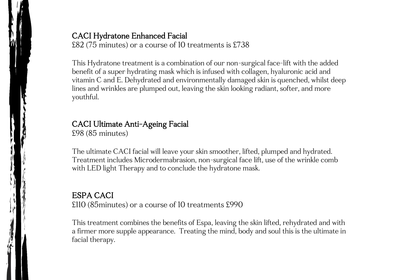## CACI Hydratone Enhanced Facial

£82 (75 minutes) or a course of 10 treatments is £738

This Hydratone treatment is a combination of our non-surgical face-lift with the added benefit of a super hydrating mask which is infused with collagen, hyaluronic acid and vitamin C and E. Dehydrated and environmentally damaged skin is quenched, whilst deep lines and wrinkles are plumped out, leaving the skin looking radiant, softer, and more youthful.

# CACI Ultimate Anti-Ageing Facial

£98 (85 minutes)

The ultimate CACI facial will leave your skin smoother, lifted, plumped and hydrated. Treatment includes Microdermabrasion, non-surgical face lift, use of the wrinkle comb with LED light Therapy and to conclude the hydratone mask.

# ESPA CACI

£110 (85minutes) or a course of 10 treatments £990

This treatment combines the benefits of Espa, leaving the skin lifted, rehydrated and with a firmer more supple appearance. Treating the mind, body and soul this is the ultimate in facial therapy.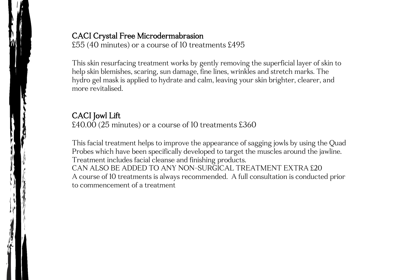## CACI Crystal Free Microdermabrasion

£55 (40 minutes) or a course of 10 treatments £495

This skin resurfacing treatment works by gently removing the superficial layer of skin to help skin blemishes, scaring, sun damage, fine lines, wrinkles and stretch marks. The hydro gel mask is applied to hydrate and calm, leaving your skin brighter, clearer, and more revitalised.

# CACI Jowl Lift

£40.00 (25 minutes) or a course of 10 treatments £360

This facial treatment helps to improve the appearance of sagging jowls by using the Quad Probes which have been specifically developed to target the muscles around the jawline. Treatment includes facial cleanse and finishing products. CAN ALSO BE ADDED TO ANY NON-SURGICAL TREATMENT EXTRA £20 A course of 10 treatments is always recommended. A full consultation is conducted prior to commencement of a treatment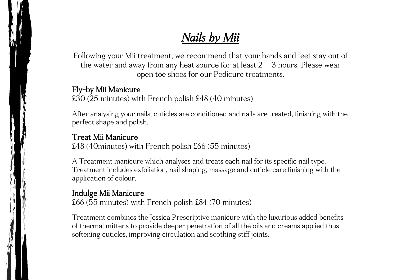# *Nails by Mii*

Following your Mii treatment, we recommend that your hands and feet stay out of the water and away from any heat source for at least  $2 - 3$  hours. Please wear open toe shoes for our Pedicure treatments.

# Fly-by Mii Manicure

£30 (25 minutes) with French polish £48 (40 minutes)

After analysing your nails, cuticles are conditioned and nails are treated, finishing with the perfect shape and polish.

# Treat Mii Manicure

£48 (40minutes) with French polish £66 (55 minutes)

A Treatment manicure which analyses and treats each nail for its specific nail type. Treatment includes exfoliation, nail shaping, massage and cuticle care finishing with the application of colour.

# Indulge Mii Manicure

£66 (55 minutes) with French polish £84 (70 minutes)

Treatment combines the Jessica Prescriptive manicure with the luxurious added benefits of thermal mittens to provide deeper penetration of all the oils and creams applied thus softening cuticles, improving circulation and soothing stiff joints.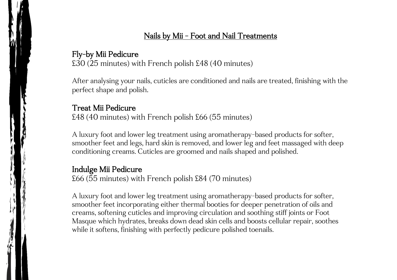# Nails by Mii - Foot and Nail Treatments

#### Fly-by Mii Pedicure

£30 (25 minutes) with French polish £48 (40 minutes)

After analysing your nails, cuticles are conditioned and nails are treated, finishing with the perfect shape and polish.

#### Treat Mii Pedicure

£48 (40 minutes) with French polish £66 (55 minutes)

A luxury foot and lower leg treatment using aromatherapy-based products for softer, smoother feet and legs, hard skin is removed, and lower leg and feet massaged with deep conditioning creams. Cuticles are groomed and nails shaped and polished.

#### Indulge Mii Pedicure

£66 (55 minutes) with French polish £84 (70 minutes)

A luxury foot and lower leg treatment using aromatherapy-based products for softer, smoother feet incorporating either thermal booties for deeper penetration of oils and creams, softening cuticles and improving circulation and soothing stiff joints or Foot Masque which hydrates, breaks down dead skin cells and boosts cellular repair, soothes while it softens, finishing with perfectly pedicure polished toenails.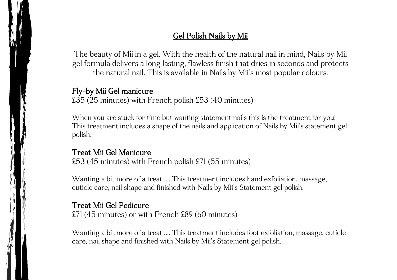# Gel Polish Nails by Mii

The beauty of Mii in a gel. With the health of the natural nail in mind, Nails by Mii gel formula delivers a long lasting, flawless finish that dries in seconds and protects the natural nail. This is available in Nails by Mii's most popular colours.

#### Fly-by Mii Gel manicure

£35 (25 minutes) with French polish £53 (40 minutes)

When you are stuck for time but wanting statement nails this is the treatment for you! This treatment includes a shape of the nails and application of Nails by Mii's statement gel polish.

#### Treat Mii Gel Manicure

£53 (45 minutes) with French polish £71 (55 minutes)

Wanting a bit more of a treat …. This treatment includes hand exfoliation, massage, cuticle care, nail shape and finished with Nails by Mii's Statement gel polish.

## Treat Mii Gel Pedicure

£71 (45 minutes) or with French £89 (60 minutes)

Wanting a bit more of a treat …. This treatment includes foot exfoliation, massage, cuticle care, nail shape and finished with Nails by Mii's Statement gel polish.